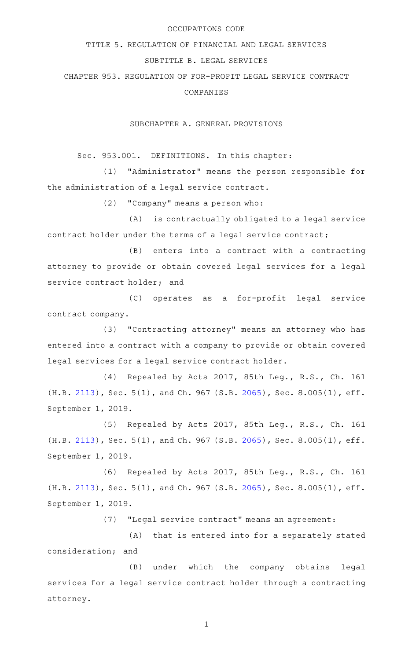## OCCUPATIONS CODE

## TITLE 5. REGULATION OF FINANCIAL AND LEGAL SERVICES

## SUBTITLE B. LEGAL SERVICES

CHAPTER 953. REGULATION OF FOR-PROFIT LEGAL SERVICE CONTRACT COMPANIES

SUBCHAPTER A. GENERAL PROVISIONS

Sec. 953.001. DEFINITIONS. In this chapter:

(1) "Administrator" means the person responsible for the administration of a legal service contract.

(2) "Company" means a person who:

(A) is contractually obligated to a legal service contract holder under the terms of a legal service contract;

(B) enters into a contract with a contracting attorney to provide or obtain covered legal services for a legal service contract holder; and

(C) operates as a for-profit legal service contract company.

(3) "Contracting attorney" means an attorney who has entered into a contract with a company to provide or obtain covered legal services for a legal service contract holder.

(4) Repealed by Acts 2017, 85th Leg., R.S., Ch. 161 (H.B. [2113\)](http://www.legis.state.tx.us/tlodocs/85R/billtext/html/HB02113F.HTM), Sec. 5(1), and Ch. 967 (S.B. [2065](http://www.legis.state.tx.us/tlodocs/85R/billtext/html/SB02065F.HTM)), Sec. 8.005(1), eff. September 1, 2019.

(5) Repealed by Acts 2017, 85th Leg., R.S., Ch. 161 (H.B. [2113\)](http://www.legis.state.tx.us/tlodocs/85R/billtext/html/HB02113F.HTM), Sec. 5(1), and Ch. 967 (S.B. [2065](http://www.legis.state.tx.us/tlodocs/85R/billtext/html/SB02065F.HTM)), Sec. 8.005(1), eff. September 1, 2019.

(6) Repealed by Acts 2017, 85th Leg., R.S., Ch. 161 (H.B. [2113\)](http://www.legis.state.tx.us/tlodocs/85R/billtext/html/HB02113F.HTM), Sec. 5(1), and Ch. 967 (S.B. [2065](http://www.legis.state.tx.us/tlodocs/85R/billtext/html/SB02065F.HTM)), Sec. 8.005(1), eff. September 1, 2019.

(7) "Legal service contract" means an agreement:

(A) that is entered into for a separately stated consideration; and

(B) under which the company obtains legal services for a legal service contract holder through a contracting attorney.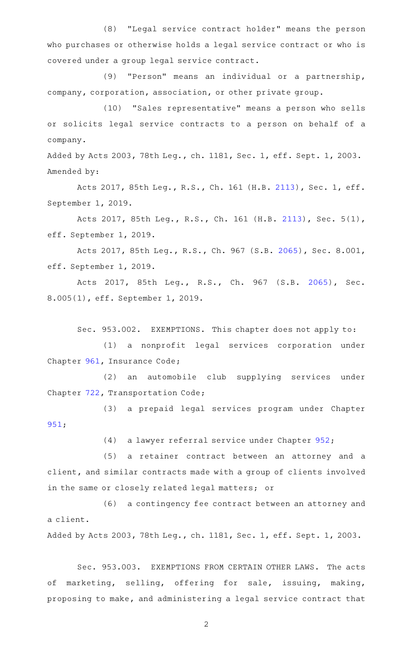(8) "Legal service contract holder" means the person who purchases or otherwise holds a legal service contract or who is covered under a group legal service contract.

(9) "Person" means an individual or a partnership, company, corporation, association, or other private group.

(10) "Sales representative" means a person who sells or solicits legal service contracts to a person on behalf of a company.

Added by Acts 2003, 78th Leg., ch. 1181, Sec. 1, eff. Sept. 1, 2003. Amended by:

Acts 2017, 85th Leg., R.S., Ch. 161 (H.B. [2113](http://www.legis.state.tx.us/tlodocs/85R/billtext/html/HB02113F.HTM)), Sec. 1, eff. September 1, 2019.

Acts 2017, 85th Leg., R.S., Ch. 161 (H.B. [2113\)](http://www.legis.state.tx.us/tlodocs/85R/billtext/html/HB02113F.HTM), Sec. 5(1), eff. September 1, 2019.

Acts 2017, 85th Leg., R.S., Ch. 967 (S.B. [2065\)](http://www.legis.state.tx.us/tlodocs/85R/billtext/html/SB02065F.HTM), Sec. 8.001, eff. September 1, 2019.

Acts 2017, 85th Leg., R.S., Ch. 967 (S.B. [2065\)](http://www.legis.state.tx.us/tlodocs/85R/billtext/html/SB02065F.HTM), Sec. 8.005(1), eff. September 1, 2019.

Sec. 953.002. EXEMPTIONS. This chapter does not apply to:

(1) a nonprofit legal services corporation under Chapter [961,](http://www.statutes.legis.state.tx.us/GetStatute.aspx?Code=IN&Value=961) Insurance Code;

(2) an automobile club supplying services under Chapter [722,](http://www.statutes.legis.state.tx.us/GetStatute.aspx?Code=TN&Value=722) Transportation Code;

(3) a prepaid legal services program under Chapter [951;](http://www.statutes.legis.state.tx.us/GetStatute.aspx?Code=OC&Value=951)

(4) a lawyer referral service under Chapter  $952$ ;

(5) a retainer contract between an attorney and a client, and similar contracts made with a group of clients involved in the same or closely related legal matters; or

(6) a contingency fee contract between an attorney and a client.

Added by Acts 2003, 78th Leg., ch. 1181, Sec. 1, eff. Sept. 1, 2003.

Sec. 953.003. EXEMPTIONS FROM CERTAIN OTHER LAWS. The acts of marketing, selling, offering for sale, issuing, making, proposing to make, and administering a legal service contract that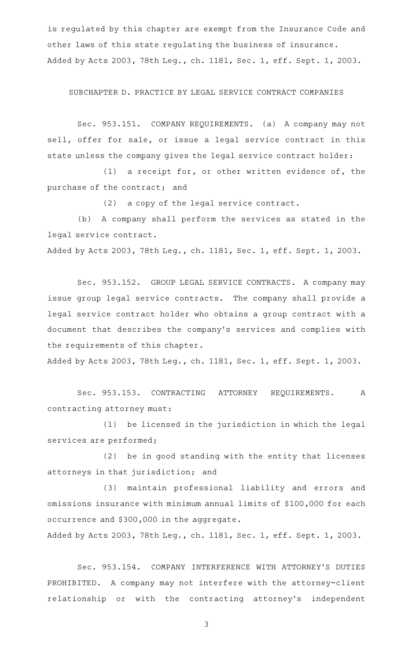is regulated by this chapter are exempt from the Insurance Code and other laws of this state regulating the business of insurance. Added by Acts 2003, 78th Leg., ch. 1181, Sec. 1, eff. Sept. 1, 2003.

SUBCHAPTER D. PRACTICE BY LEGAL SERVICE CONTRACT COMPANIES

Sec. 953.151. COMPANY REQUIREMENTS. (a) A company may not sell, offer for sale, or issue a legal service contract in this state unless the company gives the legal service contract holder:

(1) a receipt for, or other written evidence of, the purchase of the contract; and

(2) a copy of the legal service contract.

(b) A company shall perform the services as stated in the legal service contract.

Added by Acts 2003, 78th Leg., ch. 1181, Sec. 1, eff. Sept. 1, 2003.

Sec. 953.152. GROUP LEGAL SERVICE CONTRACTS. A company may issue group legal service contracts. The company shall provide a legal service contract holder who obtains a group contract with a document that describes the company 's services and complies with the requirements of this chapter.

Added by Acts 2003, 78th Leg., ch. 1181, Sec. 1, eff. Sept. 1, 2003.

Sec. 953.153. CONTRACTING ATTORNEY REQUIREMENTS. A contracting attorney must:

(1) be licensed in the jurisdiction in which the legal services are performed;

(2) be in good standing with the entity that licenses attorneys in that jurisdiction; and

(3) maintain professional liability and errors and omissions insurance with minimum annual limits of \$100,000 for each occurrence and \$300,000 in the aggregate.

Added by Acts 2003, 78th Leg., ch. 1181, Sec. 1, eff. Sept. 1, 2003.

Sec. 953.154. COMPANY INTERFERENCE WITH ATTORNEY'S DUTIES PROHIBITED. A company may not interfere with the attorney-client relationship or with the contracting attorney's independent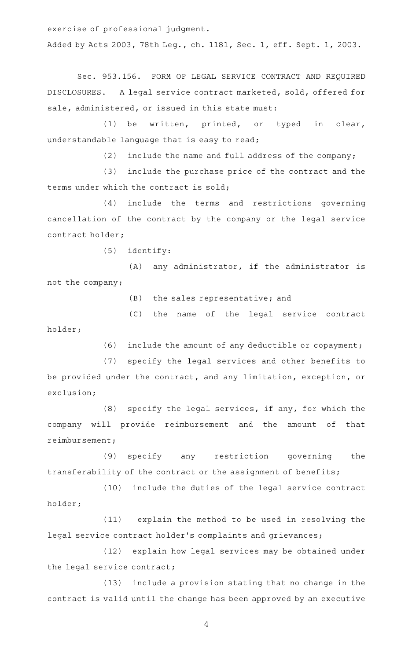exercise of professional judgment.

Added by Acts 2003, 78th Leg., ch. 1181, Sec. 1, eff. Sept. 1, 2003.

Sec. 953.156. FORM OF LEGAL SERVICE CONTRACT AND REQUIRED DISCLOSURES. A legal service contract marketed, sold, offered for sale, administered, or issued in this state must:

(1) be written, printed, or typed in clear, understandable language that is easy to read;

 $(2)$  include the name and full address of the company;

(3) include the purchase price of the contract and the terms under which the contract is sold;

(4) include the terms and restrictions governing cancellation of the contract by the company or the legal service contract holder;

 $(5)$  identify:

(A) any administrator, if the administrator is not the company;

 $(B)$  the sales representative; and

(C) the name of the legal service contract holder;

(6) include the amount of any deductible or copayment;

(7) specify the legal services and other benefits to be provided under the contract, and any limitation, exception, or exclusion;

(8) specify the legal services, if any, for which the company will provide reimbursement and the amount of that reimbursement;

(9) specify any restriction governing the transferability of the contract or the assignment of benefits;

(10) include the duties of the legal service contract holder;

(11) explain the method to be used in resolving the legal service contract holder 's complaints and grievances;

(12) explain how legal services may be obtained under the legal service contract;

(13) include a provision stating that no change in the contract is valid until the change has been approved by an executive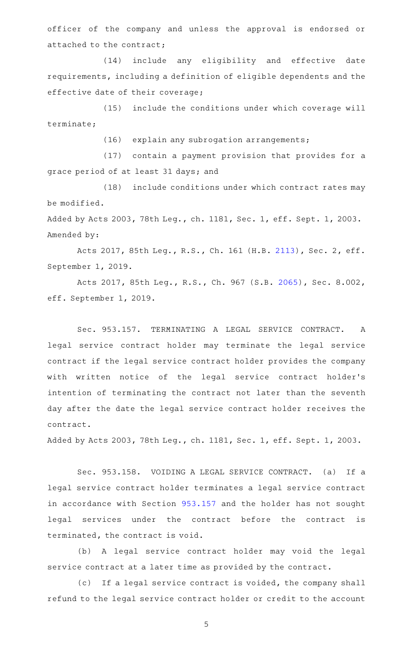officer of the company and unless the approval is endorsed or attached to the contract;

(14) include any eligibility and effective date requirements, including a definition of eligible dependents and the effective date of their coverage;

(15) include the conditions under which coverage will terminate;

(16) explain any subrogation arrangements;

(17) contain a payment provision that provides for a grace period of at least 31 days; and

(18) include conditions under which contract rates may be modified.

Added by Acts 2003, 78th Leg., ch. 1181, Sec. 1, eff. Sept. 1, 2003. Amended by:

Acts 2017, 85th Leg., R.S., Ch. 161 (H.B. [2113](http://www.legis.state.tx.us/tlodocs/85R/billtext/html/HB02113F.HTM)), Sec. 2, eff. September 1, 2019.

Acts 2017, 85th Leg., R.S., Ch. 967 (S.B. [2065\)](http://www.legis.state.tx.us/tlodocs/85R/billtext/html/SB02065F.HTM), Sec. 8.002, eff. September 1, 2019.

Sec. 953.157. TERMINATING A LEGAL SERVICE CONTRACT. A legal service contract holder may terminate the legal service contract if the legal service contract holder provides the company with written notice of the legal service contract holder 's intention of terminating the contract not later than the seventh day after the date the legal service contract holder receives the contract.

Added by Acts 2003, 78th Leg., ch. 1181, Sec. 1, eff. Sept. 1, 2003.

Sec. 953.158. VOIDING A LEGAL SERVICE CONTRACT. (a) If a legal service contract holder terminates a legal service contract in accordance with Section [953.157](http://www.statutes.legis.state.tx.us/GetStatute.aspx?Code=OC&Value=953.157) and the holder has not sought legal services under the contract before the contract is terminated, the contract is void.

(b) A legal service contract holder may void the legal service contract at a later time as provided by the contract.

(c) If a legal service contract is voided, the company shall refund to the legal service contract holder or credit to the account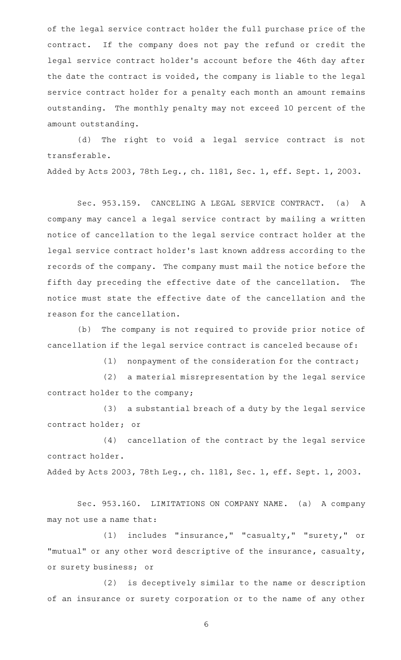of the legal service contract holder the full purchase price of the contract. If the company does not pay the refund or credit the legal service contract holder 's account before the 46th day after the date the contract is voided, the company is liable to the legal service contract holder for a penalty each month an amount remains outstanding. The monthly penalty may not exceed 10 percent of the amount outstanding.

(d) The right to void a legal service contract is not transferable.

Added by Acts 2003, 78th Leg., ch. 1181, Sec. 1, eff. Sept. 1, 2003.

Sec. 953.159. CANCELING A LEGAL SERVICE CONTRACT. (a) A company may cancel a legal service contract by mailing a written notice of cancellation to the legal service contract holder at the legal service contract holder 's last known address according to the records of the company. The company must mail the notice before the fifth day preceding the effective date of the cancellation. The notice must state the effective date of the cancellation and the reason for the cancellation.

(b) The company is not required to provide prior notice of cancellation if the legal service contract is canceled because of:

(1) nonpayment of the consideration for the contract;

(2) a material misrepresentation by the legal service contract holder to the company;

(3) a substantial breach of a duty by the legal service contract holder; or

(4) cancellation of the contract by the legal service contract holder.

Added by Acts 2003, 78th Leg., ch. 1181, Sec. 1, eff. Sept. 1, 2003.

Sec. 953.160. LIMITATIONS ON COMPANY NAME. (a) A company may not use a name that:

(1) includes "insurance," "casualty," "surety," or "mutual" or any other word descriptive of the insurance, casualty, or surety business; or

(2) is deceptively similar to the name or description of an insurance or surety corporation or to the name of any other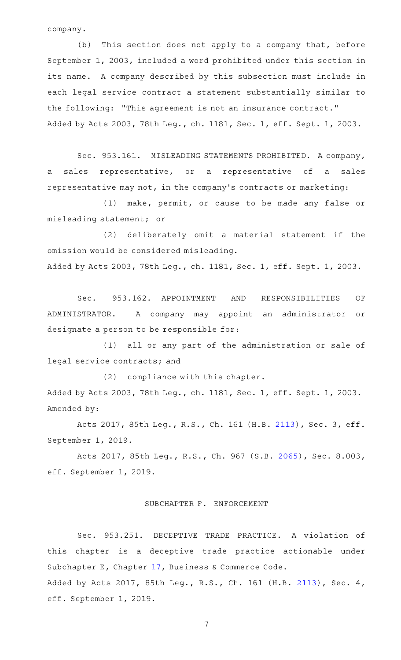company.

(b) This section does not apply to a company that, before September 1, 2003, included a word prohibited under this section in its name. A company described by this subsection must include in each legal service contract a statement substantially similar to the following: "This agreement is not an insurance contract." Added by Acts 2003, 78th Leg., ch. 1181, Sec. 1, eff. Sept. 1, 2003.

Sec. 953.161. MISLEADING STATEMENTS PROHIBITED. A company, a sales representative, or a representative of a sales representative may not, in the company 's contracts or marketing:

(1) make, permit, or cause to be made any false or misleading statement; or

(2) deliberately omit a material statement if the omission would be considered misleading. Added by Acts 2003, 78th Leg., ch. 1181, Sec. 1, eff. Sept. 1, 2003.

Sec. 953.162. APPOINTMENT AND RESPONSIBILITIES OF ADMINISTRATOR. A company may appoint an administrator or designate a person to be responsible for:

(1) all or any part of the administration or sale of legal service contracts; and

(2) compliance with this chapter. Added by Acts 2003, 78th Leg., ch. 1181, Sec. 1, eff. Sept. 1, 2003. Amended by:

Acts 2017, 85th Leg., R.S., Ch. 161 (H.B. [2113](http://www.legis.state.tx.us/tlodocs/85R/billtext/html/HB02113F.HTM)), Sec. 3, eff. September 1, 2019.

Acts 2017, 85th Leg., R.S., Ch. 967 (S.B. [2065\)](http://www.legis.state.tx.us/tlodocs/85R/billtext/html/SB02065F.HTM), Sec. 8.003, eff. September 1, 2019.

## SUBCHAPTER F. ENFORCEMENT

Sec. 953.251. DECEPTIVE TRADE PRACTICE. A violation of this chapter is a deceptive trade practice actionable under Subchapter E, Chapter [17,](http://www.statutes.legis.state.tx.us/GetStatute.aspx?Code=BC&Value=17) Business & Commerce Code. Added by Acts 2017, 85th Leg., R.S., Ch. 161 (H.B. [2113](http://www.legis.state.tx.us/tlodocs/85R/billtext/html/HB02113F.HTM)), Sec. 4, eff. September 1, 2019.